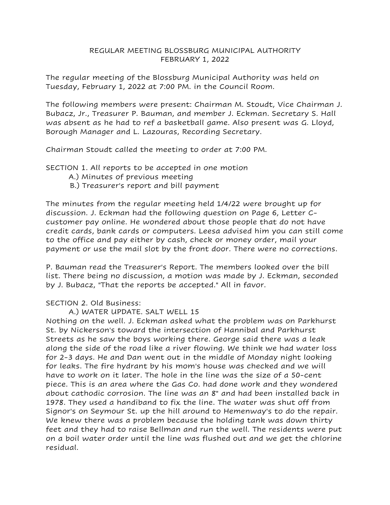### REGULAR MEETING BLOSSBURG MUNICIPAL AUTHORITY FEBRUARY 1, 2022

The regular meeting of the Blossburg Municipal Authority was held on Tuesday, February 1, 2022 at 7:00 PM. in the Council Room.

The following members were present: Chairman M. Stoudt, Vice Chairman J. Bubacz, Jr., Treasurer P. Bauman, and member J. Eckman. Secretary S. Hall was absent as he had to ref a basketball game. Also present was G. Lloyd, Borough Manager and L. Lazouras, Recording Secretary.

Chairman Stoudt called the meeting to order at 7:00 PM.

SECTION 1. All reports to be accepted in one motion

- A.) Minutes of previous meeting
- B.) Treasurer's report and bill payment

The minutes from the regular meeting held 1/4/22 were brought up for discussion. J. Eckman had the following question on Page 6, Letter Ccustomer pay online. He wondered about those people that do not have credit cards, bank cards or computers. Leesa advised him you can still come to the office and pay either by cash, check or money order, mail your payment or use the mail slot by the front door. There were no corrections.

P. Bauman read the Treasurer's Report. The members looked over the bill list. There being no discussion, a motion was made by J. Eckman, seconded by J. Bubacz, "That the reports be accepted." All in favor.

### SECTION 2. Old Business:

A.) WATER UPDATE. SALT WELL 15

Nothing on the well. J. Eckman asked what the problem was on Parkhurst St. by Nickerson's toward the intersection of Hannibal and Parkhurst Streets as he saw the boys working there. George said there was a leak along the side of the road like a river flowing. We think we had water loss for 2-3 days. He and Dan went out in the middle of Monday night looking for leaks. The fire hydrant by his mom's house was checked and we will have to work on it later. The hole in the line was the size of a 50-cent piece. This is an area where the Gas Co. had done work and they wondered about cathodic corrosion. The line was an 8" and had been installed back in 1978. They used a handiband to fix the line. The water was shut off from Signor's on Seymour St. up the hill around to Hemenway's to do the repair. We knew there was a problem because the holding tank was down thirty feet and they had to raise Bellman and run the well. The residents were put on a boil water order until the line was flushed out and we get the chlorine residual.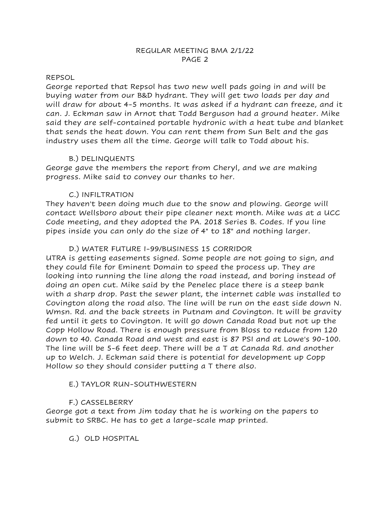### REPSOL

George reported that Repsol has two new well pads going in and will be buying water from our B&D hydrant. They will get two loads per day and will draw for about 4-5 months. It was asked if a hydrant can freeze, and it can. J. Eckman saw in Arnot that Todd Berguson had a ground heater. Mike said they are self-contained portable hydronic with a heat tube and blanket that sends the heat down. You can rent them from Sun Belt and the gas industry uses them all the time. George will talk to Todd about his.

# B.) DELINQUENTS

George gave the members the report from Cheryl, and we are making progress. Mike said to convey our thanks to her.

# C.) INFILTRATION

They haven't been doing much due to the snow and plowing. George will contact Wellsboro about their pipe cleaner next month. Mike was at a UCC Code meeting, and they adopted the PA. 2018 Series B. Codes. If you line pipes inside you can only do the size of 4" to 18" and nothing larger.

# D.) WATER FUTURE I-99/BUSINESS 15 CORRIDOR

UTRA is getting easements signed. Some people are not going to sign, and they could file for Eminent Domain to speed the process up. They are looking into running the line along the road instead, and boring instead of doing an open cut. Mike said by the Penelec place there is a steep bank with a sharp drop. Past the sewer plant, the internet cable was installed to Covington along the road also. The line will be run on the east side down N. Wmsn. Rd. and the back streets in Putnam and Covington. It will be gravity fed until it gets to Covington. It will go down Canada Road but not up the Copp Hollow Road. There is enough pressure from Bloss to reduce from 120 down to 40. Canada Road and west and east is 87 PSI and at Lowe's 90-100. The line will be 5-6 feet deep. There will be a T at Canada Rd. and another up to Welch. J. Eckman said there is potential for development up Copp Hollow so they should consider putting a T there also.

# E.) TAYLOR RUN-SOUTHWESTERN

# F.) CASSELBERRY

George got a text from Jim today that he is working on the papers to submit to SRBC. He has to get a large-scale map printed.

G.) OLD HOSPITAL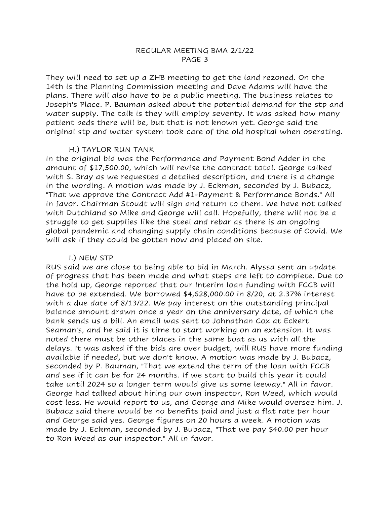### REGULAR MEETING BMA 2/1/22 PAGE 3

They will need to set up a ZHB meeting to get the land rezoned. On the 14th is the Planning Commission meeting and Dave Adams will have the plans. There will also have to be a public meeting. The business relates to Joseph's Place. P. Bauman asked about the potential demand for the stp and water supply. The talk is they will employ seventy. It was asked how many patient beds there will be, but that is not known yet. George said the original stp and water system took care of the old hospital when operating.

#### H.) TAYLOR RUN TANK

In the original bid was the Performance and Payment Bond Adder in the amount of \$17,500.00, which will revise the contract total. George talked with S. Bray as we requested a detailed description, and there is a change in the wording. A motion was made by J. Eckman, seconded by J. Bubacz, "That we approve the Contract Add #1-Payment & Performance Bonds." All in favor. Chairman Stoudt will sign and return to them. We have not talked with Dutchland so Mike and George will call. Hopefully, there will not be a struggle to get supplies like the steel and rebar as there is an ongoing global pandemic and changing supply chain conditions because of Covid. We will ask if they could be gotten now and placed on site.

### I.) NEW STP

RUS said we are close to being able to bid in March. Alyssa sent an update of progress that has been made and what steps are left to complete. Due to the hold up, George reported that our Interim loan funding with FCCB will have to be extended. We borrowed \$4,628,000.00 in 8/20, at 2.37% interest with a due date of 8/13/22. We pay interest on the outstanding principal balance amount drawn once a year on the anniversary date, of which the bank sends us a bill. An email was sent to Johnathan Cox at Eckert Seaman's, and he said it is time to start working on an extension. It was noted there must be other places in the same boat as us with all the delays. It was asked if the bids are over budget, will RUS have more funding available if needed, but we don't know. A motion was made by J. Bubacz, seconded by P. Bauman, "That we extend the term of the loan with FCCB and see if it can be for 24 months. If we start to build this year it could take until 2024 so a longer term would give us some leeway." All in favor. George had talked about hiring our own inspector, Ron Weed, which would cost less. He would report to us, and George and Mike would oversee him. J. Bubacz said there would be no benefits paid and just a flat rate per hour and George said yes. George figures on 20 hours a week. A motion was made by J. Eckman, seconded by J. Bubacz, "That we pay \$40.00 per hour to Ron Weed as our inspector." All in favor.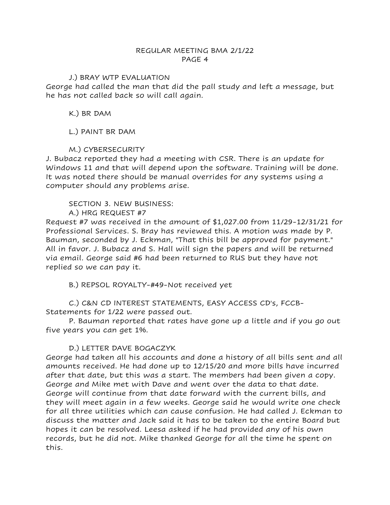### REGULAR MEETING BMA 2/1/22 PAGE 4

### J.) BRAY WTP EVALUATION

George had called the man that did the pall study and left a message, but he has not called back so will call again.

K.) BR DAM

# L.) PAINT BR DAM

# M.) CYBERSECURITY

J. Bubacz reported they had a meeting with CSR. There is an update for Windows 11 and that will depend upon the software. Training will be done. It was noted there should be manual overrides for any systems using a computer should any problems arise.

### SECTION 3. NEW BUSINESS:

A.) HRG REQUEST #7

Request #7 was received in the amount of \$1,027.00 from 11/29-12/31/21 for Professional Services. S. Bray has reviewed this. A motion was made by P. Bauman, seconded by J. Eckman, "That this bill be approved for payment." All in favor. J. Bubacz and S. Hall will sign the papers and will be returned via email. George said #6 had been returned to RUS but they have not replied so we can pay it.

B.) REPSOL ROYALTY-#49-Not received yet

C.) C&N CD INTEREST STATEMENTS, EASY ACCESS CD's, FCCB-Statements for 1/22 were passed out.

P. Bauman reported that rates have gone up a little and if you go out five years you can get 1%.

# D.) LETTER DAVE BOGACZYK

George had taken all his accounts and done a history of all bills sent and all amounts received. He had done up to 12/15/20 and more bills have incurred after that date, but this was a start. The members had been given a copy. George and Mike met with Dave and went over the data to that date. George will continue from that date forward with the current bills, and they will meet again in a few weeks. George said he would write one check for all three utilities which can cause confusion. He had called J. Eckman to discuss the matter and Jack said it has to be taken to the entire Board but hopes it can be resolved. Leesa asked if he had provided any of his own records, but he did not. Mike thanked George for all the time he spent on this.